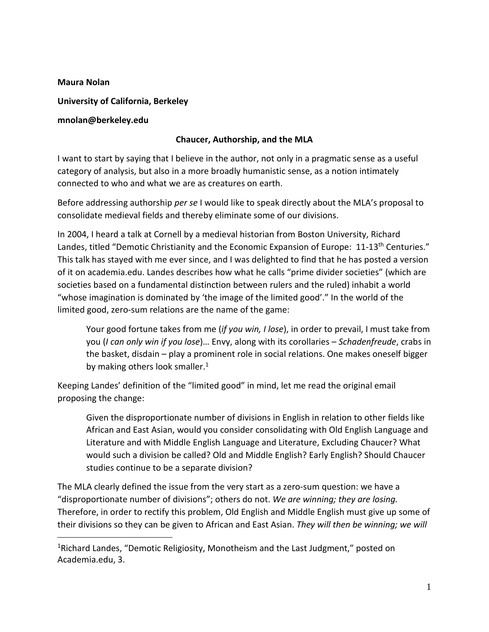## **Maura Nolan**

 $\overline{a}$ 

**University of California, Berkeley**

## **mnolan@berkeley.edu**

## **Chaucer, Authorship, and the MLA**

I want to start by saying that I believe in the author, not only in a pragmatic sense as a useful category of analysis, but also in a more broadly humanistic sense, as a notion intimately connected to who and what we are as creatures on earth.

Before addressing authorship *per se* I would like to speak directly about the MLA's proposal to consolidate medieval fields and thereby eliminate some of our divisions.

In 2004, I heard a talk at Cornell by a medieval historian from Boston University, Richard Landes, titled "Demotic Christianity and the Economic Expansion of Europe: 11-13<sup>th</sup> Centuries." This talk has stayed with me ever since, and I was delighted to find that he has posted a version of it on academia.edu. Landes describes how what he calls "prime divider societies" (which are societies based on a fundamental distinction between rulers and the ruled) inhabit a world "whose imagination is dominated by 'the image of the limited good'." In the world of the limited good, zero-sum relations are the name of the game:

Your good fortune takes from me (*if you win, I lose*), in order to prevail, I must take from you (*I can only win if you lose*)… Envy, along with its corollaries – *Schadenfreude*, crabs in the basket, disdain – play a prominent role in social relations. One makes oneself bigger by making others look smaller. $<sup>1</sup>$ </sup>

Keeping Landes' definition of the "limited good" in mind, let me read the original email proposing the change:

Given the disproportionate number of divisions in English in relation to other fields like African and East Asian, would you consider consolidating with Old English Language and Literature and with Middle English Language and Literature, Excluding Chaucer? What would such a division be called? Old and Middle English? Early English? Should Chaucer studies continue to be a separate division?

The MLA clearly defined the issue from the very start as a zero-sum question: we have a "disproportionate number of divisions"; others do not. *We are winning; they are losing.* Therefore, in order to rectify this problem, Old English and Middle English must give up some of their divisions so they can be given to African and East Asian. *They will then be winning; we will*

<sup>&</sup>lt;sup>1</sup>Richard Landes, "Demotic Religiosity, Monotheism and the Last Judgment," posted on Academia.edu, 3.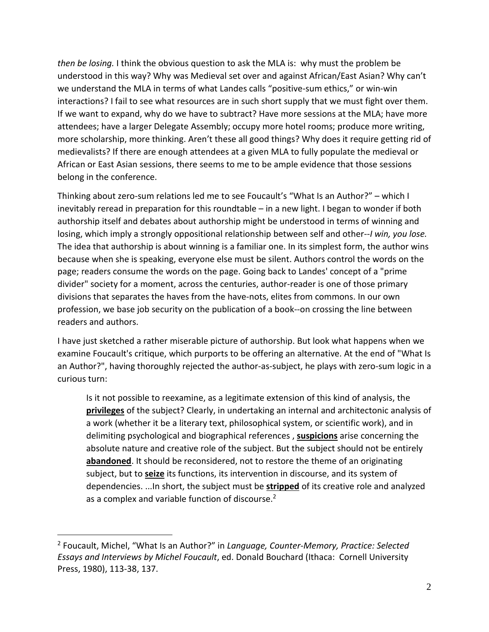*then be losing.* I think the obvious question to ask the MLA is: why must the problem be understood in this way? Why was Medieval set over and against African/East Asian? Why can't we understand the MLA in terms of what Landes calls "positive-sum ethics," or win-win interactions? I fail to see what resources are in such short supply that we must fight over them. If we want to expand, why do we have to subtract? Have more sessions at the MLA; have more attendees; have a larger Delegate Assembly; occupy more hotel rooms; produce more writing, more scholarship, more thinking. Aren't these all good things? Why does it require getting rid of medievalists? If there are enough attendees at a given MLA to fully populate the medieval or African or East Asian sessions, there seems to me to be ample evidence that those sessions belong in the conference.

Thinking about zero-sum relations led me to see Foucault's "What Is an Author?" – which I inevitably reread in preparation for this roundtable – in a new light. I began to wonder if both authorship itself and debates about authorship might be understood in terms of winning and losing, which imply a strongly oppositional relationship between self and other--*I win, you lose.* The idea that authorship is about winning is a familiar one. In its simplest form, the author wins because when she is speaking, everyone else must be silent. Authors control the words on the page; readers consume the words on the page. Going back to Landes' concept of a "prime divider" society for a moment, across the centuries, author-reader is one of those primary divisions that separates the haves from the have-nots, elites from commons. In our own profession, we base job security on the publication of a book--on crossing the line between readers and authors.

I have just sketched a rather miserable picture of authorship. But look what happens when we examine Foucault's critique, which purports to be offering an alternative. At the end of "What Is an Author?", having thoroughly rejected the author-as-subject, he plays with zero-sum logic in a curious turn:

Is it not possible to reexamine, as a legitimate extension of this kind of analysis, the **privileges** of the subject? Clearly, in undertaking an internal and architectonic analysis of a work (whether it be a literary text, philosophical system, or scientific work), and in delimiting psychological and biographical references , **suspicions** arise concerning the absolute nature and creative role of the subject. But the subject should not be entirely **abandoned**. It should be reconsidered, not to restore the theme of an originating subject, but to **seize** its functions, its intervention in discourse, and its system of dependencies. ...In short, the subject must be **stripped** of its creative role and analyzed as a complex and variable function of discourse.<sup>2</sup>

 $\overline{a}$ 

<sup>2</sup> Foucault, Michel, "What Is an Author?" in *Language, Counter-Memory, Practice: Selected Essays and Interviews by Michel Foucault*, ed. Donald Bouchard (Ithaca: Cornell University Press, 1980), 113-38, 137.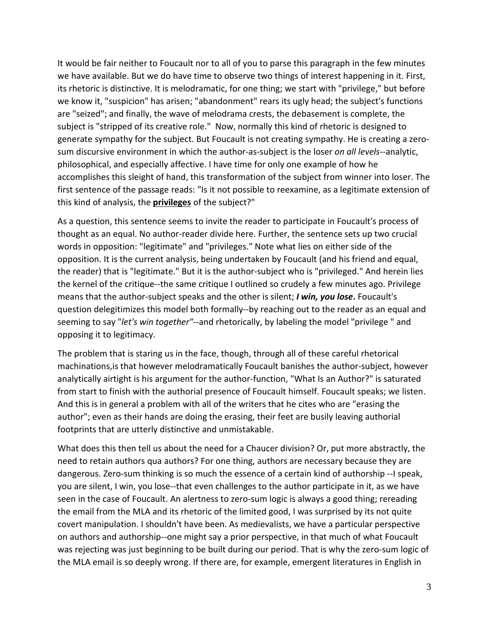It would be fair neither to Foucault nor to all of you to parse this paragraph in the few minutes we have available. But we do have time to observe two things of interest happening in it. First, its rhetoric is distinctive. It is melodramatic, for one thing; we start with "privilege," but before we know it, "suspicion" has arisen; "abandonment" rears its ugly head; the subject's functions are "seized"; and finally, the wave of melodrama crests, the debasement is complete, the subject is "stripped of its creative role." Now, normally this kind of rhetoric is designed to generate sympathy for the subject. But Foucault is not creating sympathy. He is creating a zerosum discursive environment in which the author-as-subject is the loser *on all levels*--analytic, philosophical, and especially affective. I have time for only one example of how he accomplishes this sleight of hand, this transformation of the subject from winner into loser. The first sentence of the passage reads: "Is it not possible to reexamine, as a legitimate extension of this kind of analysis, the **privileges** of the subject?"

As a question, this sentence seems to invite the reader to participate in Foucault's process of thought as an equal. No author-reader divide here. Further, the sentence sets up two crucial words in opposition: "legitimate" and "privileges." Note what lies on either side of the opposition. It is the current analysis, being undertaken by Foucault (and his friend and equal, the reader) that is "legitimate." But it is the author-subject who is "privileged." And herein lies the kernel of the critique--the same critique I outlined so crudely a few minutes ago. Privilege means that the author-subject speaks and the other is silent; *I win, you lose***.** Foucault's question delegitimizes this model both formally--by reaching out to the reader as an equal and seeming to say "*let's win together"-*-and rhetorically, by labeling the model "privilege " and opposing it to legitimacy.

The problem that is staring us in the face, though, through all of these careful rhetorical machinations,is that however melodramatically Foucault banishes the author-subject, however analytically airtight is his argument for the author-function, "What Is an Author?" is saturated from start to finish with the authorial presence of Foucault himself. Foucault speaks; we listen. And this is in general a problem with all of the writers that he cites who are "erasing the author"; even as their hands are doing the erasing, their feet are busily leaving authorial footprints that are utterly distinctive and unmistakable.

What does this then tell us about the need for a Chaucer division? Or, put more abstractly, the need to retain authors qua authors? For one thing, authors are necessary because they are dangerous. Zero-sum thinking is so much the essence of a certain kind of authorship --I speak, you are silent, I win, you lose--that even challenges to the author participate in it, as we have seen in the case of Foucault. An alertness to zero-sum logic is always a good thing; rereading the email from the MLA and its rhetoric of the limited good, I was surprised by its not quite covert manipulation. I shouldn't have been. As medievalists, we have a particular perspective on authors and authorship--one might say a prior perspective, in that much of what Foucault was rejecting was just beginning to be built during our period. That is why the zero-sum logic of the MLA email is so deeply wrong. If there are, for example, emergent literatures in English in